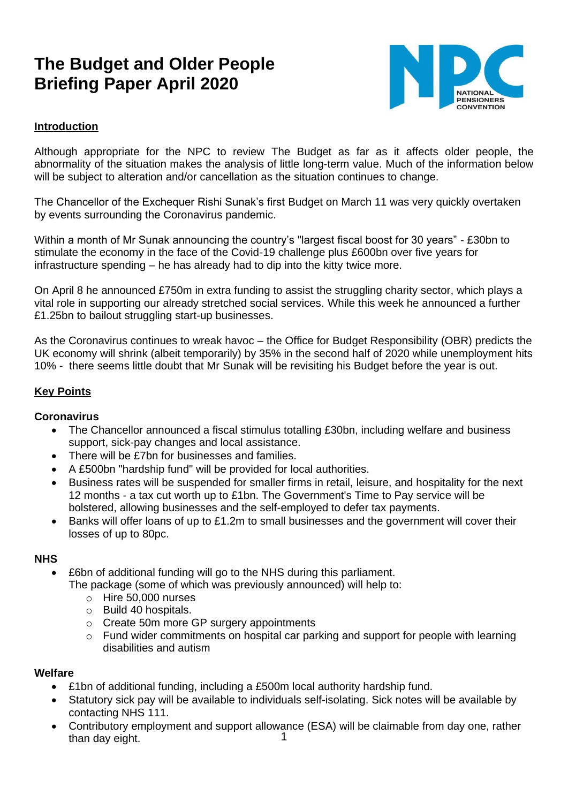# **The Budget and Older People Briefing Paper April 2020**



## **Introduction**

Although appropriate for the NPC to review The Budget as far as it affects older people, the abnormality of the situation makes the analysis of little long-term value. Much of the information below will be subject to alteration and/or cancellation as the situation continues to change.

The Chancellor of the Exchequer Rishi Sunak's first Budget on March 11 was very quickly overtaken by events surrounding the Coronavirus pandemic.

Within a month of Mr Sunak announcing the country's "largest fiscal boost for 30 years" - £30bn to stimulate the economy in the face of the Covid-19 challenge plus £600bn over five years for infrastructure spending – he has already had to dip into the kitty twice more.

On April 8 he announced £750m in extra funding to assist the struggling charity sector, which plays a vital role in supporting our already stretched social services. While this week he announced a further £1.25bn to bailout struggling start-up businesses.

As the Coronavirus continues to wreak havoc – the Office for Budget Responsibility (OBR) predicts the UK economy will shrink (albeit temporarily) by 35% in the second half of 2020 while unemployment hits 10% - there seems little doubt that Mr Sunak will be revisiting his Budget before the year is out.

## **Key Points**

#### **Coronavirus**

- The Chancellor announced a fiscal stimulus totalling £30bn, including welfare and business support, sick-pay changes and local assistance.
- There will be £7bn for businesses and families.
- A £500bn "hardship fund" will be provided for local authorities.
- Business rates will be suspended for smaller firms in retail, leisure, and hospitality for the next 12 months - a tax cut worth up to £1bn. The Government's Time to Pay service will be bolstered, allowing businesses and the self-employed to defer tax payments.
- Banks will offer loans of up to £1.2m to small businesses and the government will cover their losses of up to 80pc.

#### **NHS**

- £6bn of additional funding will go to the NHS during this parliament. The package (some of which was previously announced) will help to:
	- o Hire 50,000 nurses
	- o Build 40 hospitals.
	- o Create 50m more GP surgery appointments
	- $\circ$  Fund wider commitments on hospital car parking and support for people with learning disabilities and autism

#### **Welfare**

- £1bn of additional funding, including a £500m local authority hardship fund.
- Statutory sick pay will be available to individuals self-isolating. Sick notes will be available by contacting NHS 111.
- 1 • Contributory employment and support allowance (ESA) will be claimable from day one, rather than day eight.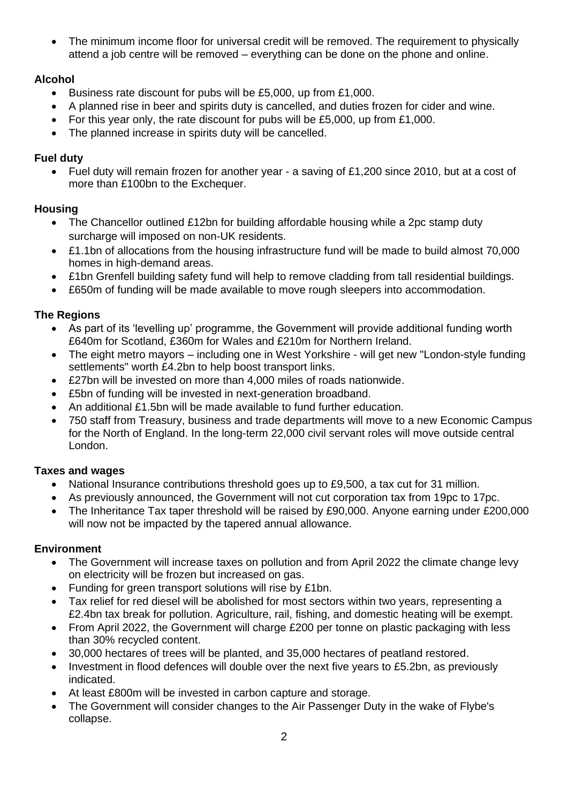The minimum income floor for universal credit will be removed. The requirement to physically attend a job centre will be removed – everything can be done on the phone and online.

# **Alcohol**

- Business rate discount for pubs will be £5,000, up from £1,000.
- A planned rise in beer and spirits duty is cancelled, and duties frozen for cider and wine.
- For this year only, the rate discount for pubs will be £5,000, up from £1,000.
- The planned increase in spirits duty will be cancelled.

# **Fuel duty**

• Fuel duty will remain frozen for another year - a saving of £1,200 since 2010, but at a cost of more than £100bn to the Exchequer.

# **Housing**

- The Chancellor outlined £12bn for building affordable housing while a 2pc stamp duty surcharge will imposed on non-UK residents.
- £1.1bn of allocations from the housing infrastructure fund will be made to build almost 70,000 homes in high-demand areas.
- £1bn Grenfell building safety fund will help to remove cladding from tall residential buildings.
- £650m of funding will be made available to move rough sleepers into accommodation.

# **The Regions**

- As part of its 'levelling up' programme, the Government will provide additional funding worth £640m for Scotland, £360m for Wales and £210m for Northern Ireland.
- The eight metro mayors including one in West Yorkshire will get new "London-style funding settlements" worth £4.2bn to help boost transport links.
- £27bn will be invested on more than 4,000 miles of roads nationwide.
- £5bn of funding will be invested in next-generation broadband.
- An additional £1.5bn will be made available to fund further education.
- 750 staff from Treasury, business and trade departments will move to a new Economic Campus for the North of England. In the long-term 22,000 civil servant roles will move outside central London.

# **Taxes and wages**

- National Insurance contributions threshold goes up to £9,500, a tax cut for 31 million.
- As previously announced, the Government will not cut corporation tax from 19pc to 17pc.
- The Inheritance Tax taper threshold will be raised by £90,000. Anyone earning under £200,000 will now not be impacted by the tapered annual allowance.

## **Environment**

- The Government will increase taxes on pollution and from April 2022 the climate change levy on electricity will be frozen but increased on gas.
- Funding for green transport solutions will rise by £1bn.
- Tax relief for red diesel will be abolished for most sectors within two years, representing a £2.4bn tax break for pollution. Agriculture, rail, fishing, and domestic heating will be exempt.
- From April 2022, the Government will charge £200 per tonne on plastic packaging with less than 30% recycled content.
- 30,000 hectares of trees will be planted, and 35,000 hectares of peatland restored.
- Investment in flood defences will double over the next five years to £5.2bn, as previously indicated.
- At least £800m will be invested in carbon capture and storage.
- The Government will consider changes to the Air Passenger Duty in the wake of Flybe's collapse.